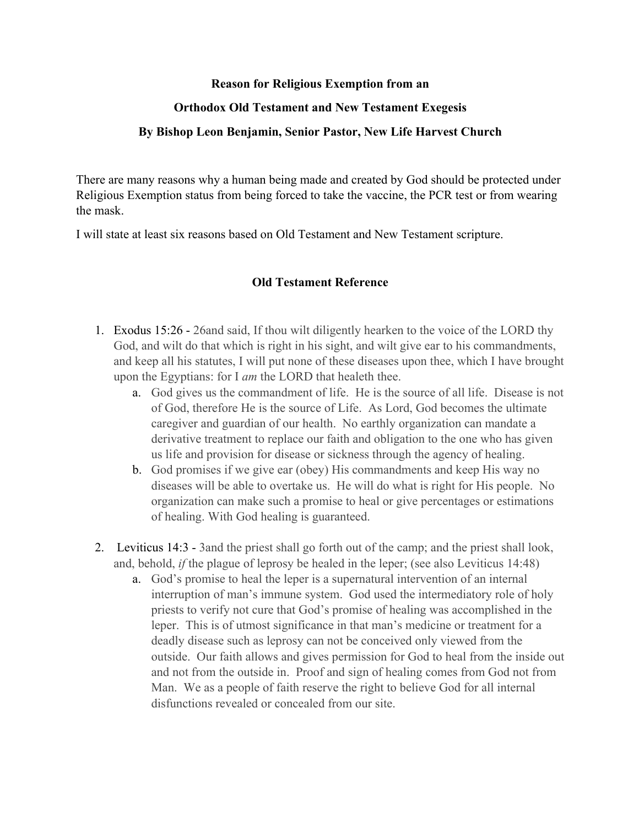## **Reason for Religious Exemption from an**

### **Orthodox Old Testament and New Testament Exegesis**

### **By Bishop Leon Benjamin, Senior Pastor, New Life Harvest Church**

There are many reasons why a human being made and created by God should be protected under Religious Exemption status from being forced to take the vaccine, the PCR test or from wearing the mask.

I will state at least six reasons based on Old Testament and New Testament scripture.

### **Old Testament Reference**

- 1. Exodus 15:26 26and said, If thou wilt diligently hearken to the voice of the LORD thy God, and wilt do that which is right in his sight, and wilt give ear to his commandments, and keep all his statutes, I will put none of these diseases upon thee, which I have brought upon the Egyptians: for I *am* the LORD that healeth thee.
	- a. God gives us the commandment of life. He is the source of all life. Disease is not of God, therefore He is the source of Life. As Lord, God becomes the ultimate caregiver and guardian of our health. No earthly organization can mandate a derivative treatment to replace our faith and obligation to the one who has given us life and provision for disease or sickness through the agency of healing.
	- b. God promises if we give ear (obey) His commandments and keep His way no diseases will be able to overtake us. He will do what is right for His people. No organization can make such a promise to heal or give percentages or estimations of healing. With God healing is guaranteed.
- 2. Leviticus 14:3 3and the priest shall go forth out of the camp; and the priest shall look, and, behold, *if* the plague of leprosy be healed in the leper; (see also Leviticus 14:48)
	- a. God's promise to heal the leper is a supernatural intervention of an internal interruption of man's immune system. God used the intermediatory role of holy priests to verify not cure that God's promise of healing was accomplished in the leper. This is of utmost significance in that man's medicine or treatment for a deadly disease such as leprosy can not be conceived only viewed from the outside. Our faith allows and gives permission for God to heal from the inside out and not from the outside in. Proof and sign of healing comes from God not from Man. We as a people of faith reserve the right to believe God for all internal disfunctions revealed or concealed from our site.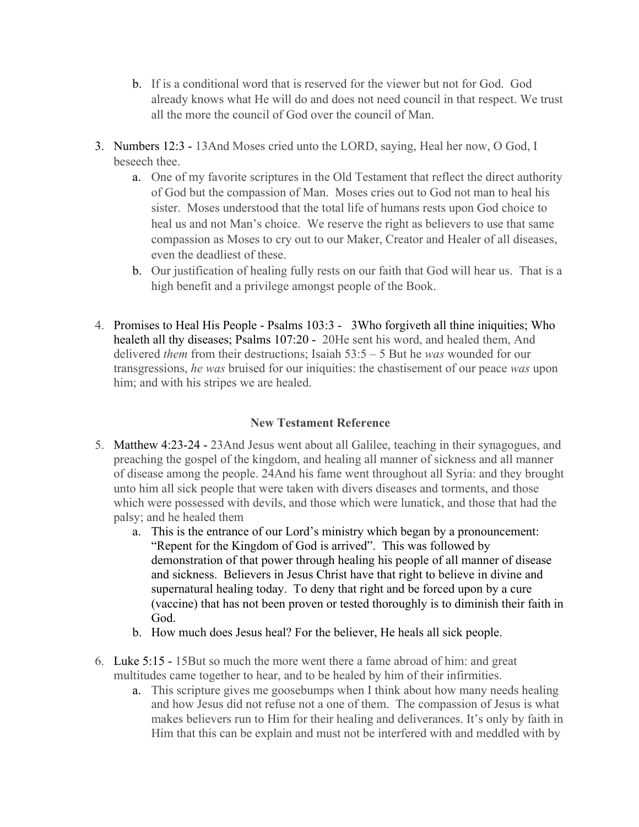- b. If is a conditional word that is reserved for the viewer but not for God. God already knows what He will do and does not need council in that respect. We trust all the more the council of God over the council of Man.
- 3. Numbers 12:3 13And Moses cried unto the LORD, saying, Heal her now, O God, I beseech thee.
	- a. One of my favorite scriptures in the Old Testament that reflect the direct authority of God but the compassion of Man. Moses cries out to God not man to heal his sister. Moses understood that the total life of humans rests upon God choice to heal us and not Man's choice. We reserve the right as believers to use that same compassion as Moses to cry out to our Maker, Creator and Healer of all diseases, even the deadliest of these.
	- b. Our justification of healing fully rests on our faith that God will hear us. That is a high benefit and a privilege amongst people of the Book.
- 4. Promises to Heal His People Psalms 103:3 3Who forgiveth all thine iniquities; Who healeth all thy diseases; Psalms 107:20 - 20He sent his word, and healed them, And delivered *them* from their destructions; Isaiah 53:5 – 5 But he *was* wounded for our transgressions, *he was* bruised for our iniquities: the chastisement of our peace *was* upon him; and with his stripes we are healed.

# **New Testament Reference**

- 5. Matthew 4:23-24 23And Jesus went about all Galilee, teaching in their synagogues, and preaching the gospel of the kingdom, and healing all manner of sickness and all manner of disease among the people. 24And his fame went throughout all Syria: and they brought unto him all sick people that were taken with divers diseases and torments, and those which were possessed with devils, and those which were lunatick, and those that had the palsy; and he healed them
	- a. This is the entrance of our Lord's ministry which began by a pronouncement: "Repent for the Kingdom of God is arrived". This was followed by demonstration of that power through healing his people of all manner of disease and sickness. Believers in Jesus Christ have that right to believe in divine and supernatural healing today. To deny that right and be forced upon by a cure (vaccine) that has not been proven or tested thoroughly is to diminish their faith in God.
	- b. How much does Jesus heal? For the believer, He heals all sick people.
- 6. Luke 5:15 15But so much the more went there a fame abroad of him: and great multitudes came together to hear, and to be healed by him of their infirmities.
	- a. This scripture gives me goosebumps when I think about how many needs healing and how Jesus did not refuse not a one of them. The compassion of Jesus is what makes believers run to Him for their healing and deliverances. It's only by faith in Him that this can be explain and must not be interfered with and meddled with by